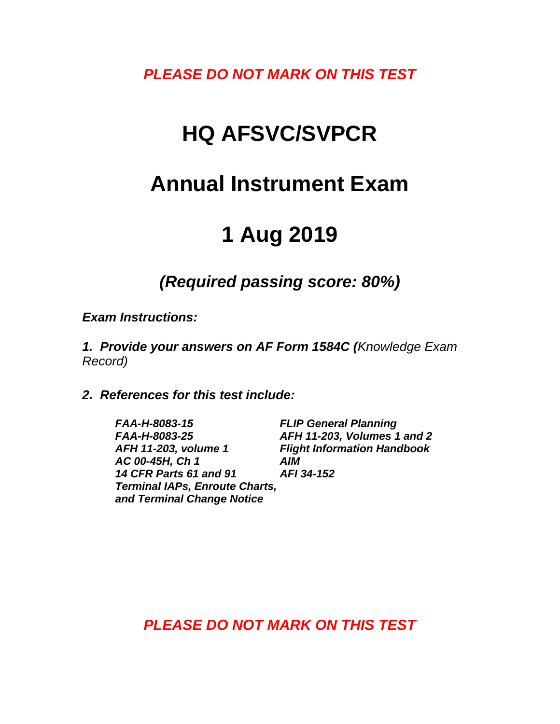*PLEASE DO NOT MARK ON THIS TEST*

## **HQ AFSVC/SVPCR**

## **Annual Instrument Exam**

# **1 Aug 2019**

*(Required passing score: 80%)*

*Exam Instructions:*

*1. Provide your answers on AF Form 1584C (Knowledge Exam Record)*

*2. References for this test include:*

*FAA-H-8083-15 FLIP General Planning FAA-H-8083-25 AFH 11-203, Volumes 1 and 2 AFH 11-203, volume 1 Flight Information Handbook AC 00-45H, Ch 1 AIM*<br>14 CFR Parts 61 and 91 **AFI 34-152** *14 CFR Parts 61 and 91 Terminal IAPs, Enroute Charts, and Terminal Change Notice*

*PLEASE DO NOT MARK ON THIS TEST*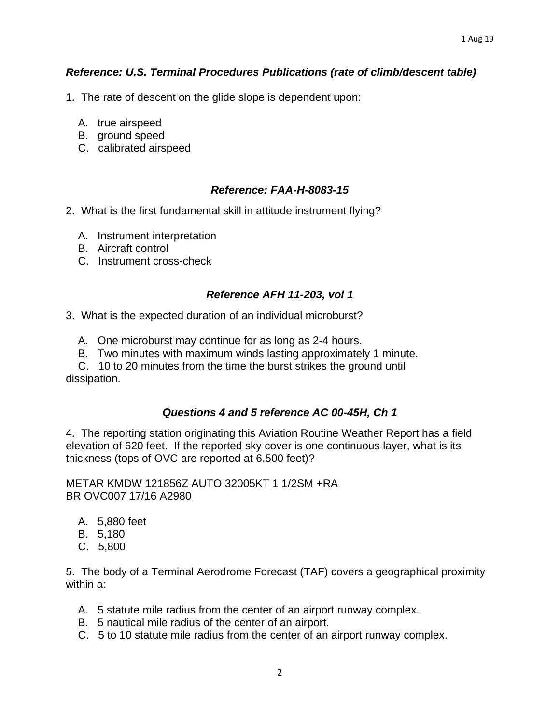## *Reference: U.S. Terminal Procedures Publications (rate of climb/descent table)*

- 1. The rate of descent on the glide slope is dependent upon:
	- A. true airspeed
	- B. ground speed
	- C. calibrated airspeed

#### *Reference: FAA-H-8083-15*

- 2. What is the first fundamental skill in attitude instrument flying?
	- A. Instrument interpretation
	- B. Aircraft control
	- C. Instrument cross-check

#### *Reference AFH 11-203, vol 1*

3. What is the expected duration of an individual microburst?

- A. One microburst may continue for as long as 2-4 hours.
- B. Two minutes with maximum winds lasting approximately 1 minute.

 C. 10 to 20 minutes from the time the burst strikes the ground until dissipation.

## *Questions 4 and 5 reference AC 00-45H, Ch 1*

4. The reporting station originating this Aviation Routine Weather Report has a field elevation of 620 feet. If the reported sky cover is one continuous layer, what is its thickness (tops of OVC are reported at 6,500 feet)?

METAR KMDW 121856Z AUTO 32005KT 1 1/2SM +RA BR OVC007 17/16 A2980

- A. 5,880 feet
- B. 5,180
- C. 5,800

5. The body of a Terminal Aerodrome Forecast (TAF) covers a geographical proximity within a:

- A. 5 statute mile radius from the center of an airport runway complex.
- B. 5 nautical mile radius of the center of an airport.
- C. 5 to 10 statute mile radius from the center of an airport runway complex.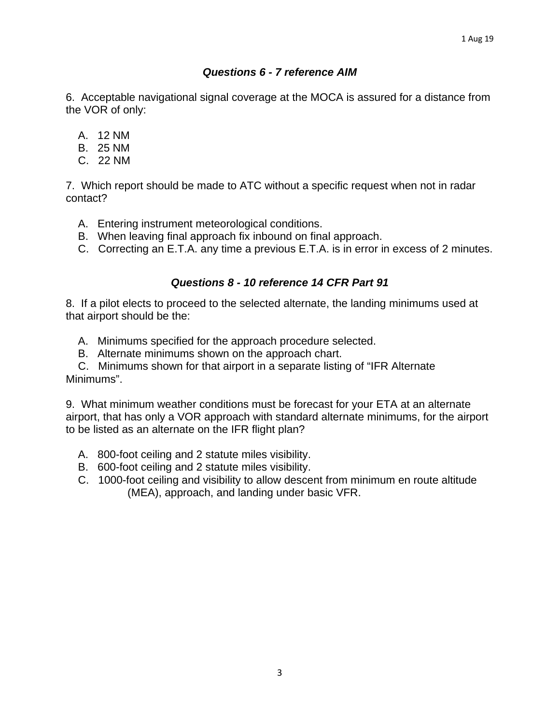## *Questions 6 - 7 reference AIM*

6. Acceptable navigational signal coverage at the MOCA is assured for a distance from the VOR of only:

- A. 12 NM
- B. 25 NM
- C. 22 NM

7. Which report should be made to ATC without a specific request when not in radar contact?

- A. Entering instrument meteorological conditions.
- B. When leaving final approach fix inbound on final approach.
- C. Correcting an E.T.A. any time a previous E.T.A. is in error in excess of 2 minutes.

## *Questions 8 - 10 reference 14 CFR Part 91*

8. If a pilot elects to proceed to the selected alternate, the landing minimums used at that airport should be the:

- A. Minimums specified for the approach procedure selected.
- B. Alternate minimums shown on the approach chart.

 C. Minimums shown for that airport in a separate listing of "IFR Alternate Minimums".

9. What minimum weather conditions must be forecast for your ETA at an alternate airport, that has only a VOR approach with standard alternate minimums, for the airport to be listed as an alternate on the IFR flight plan?

- A. 800-foot ceiling and 2 statute miles visibility.
- B. 600-foot ceiling and 2 statute miles visibility.
- C. 1000-foot ceiling and visibility to allow descent from minimum en route altitude (MEA), approach, and landing under basic VFR.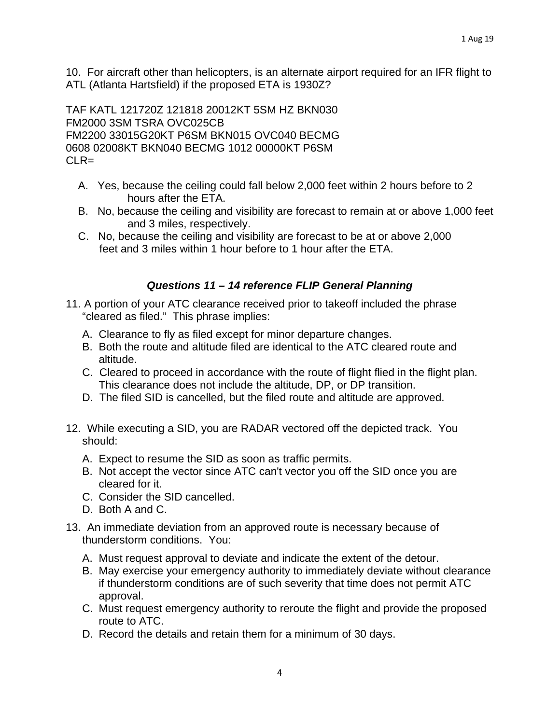10. For aircraft other than helicopters, is an alternate airport required for an IFR flight to ATL (Atlanta Hartsfield) if the proposed ETA is 1930Z?

TAF KATL 121720Z 121818 20012KT 5SM HZ BKN030 FM2000 3SM TSRA OVC025CB FM2200 33015G20KT P6SM BKN015 OVC040 BECMG 0608 02008KT BKN040 BECMG 1012 00000KT P6SM CLR=

- A. Yes, because the ceiling could fall below 2,000 feet within 2 hours before to 2 hours after the ETA.
- B. No, because the ceiling and visibility are forecast to remain at or above 1,000 feet and 3 miles, respectively.
- C. No, because the ceiling and visibility are forecast to be at or above 2,000 feet and 3 miles within 1 hour before to 1 hour after the ETA.

## *Questions 11 – 14 reference FLIP General Planning*

- 11. A portion of your ATC clearance received prior to takeoff included the phrase "cleared as filed." This phrase implies:
	- A. Clearance to fly as filed except for minor departure changes.
	- B. Both the route and altitude filed are identical to the ATC cleared route and altitude.
	- C. Cleared to proceed in accordance with the route of flight flied in the flight plan. This clearance does not include the altitude, DP, or DP transition.
	- D. The filed SID is cancelled, but the filed route and altitude are approved.
- 12. While executing a SID, you are RADAR vectored off the depicted track. You should:
	- A. Expect to resume the SID as soon as traffic permits.
	- B. Not accept the vector since ATC can't vector you off the SID once you are cleared for it.
	- C. Consider the SID cancelled.
	- D. Both A and C.
- 13. An immediate deviation from an approved route is necessary because of thunderstorm conditions. You:
	- A. Must request approval to deviate and indicate the extent of the detour.
	- B. May exercise your emergency authority to immediately deviate without clearance if thunderstorm conditions are of such severity that time does not permit ATC approval.
	- C. Must request emergency authority to reroute the flight and provide the proposed route to ATC.
	- D. Record the details and retain them for a minimum of 30 days.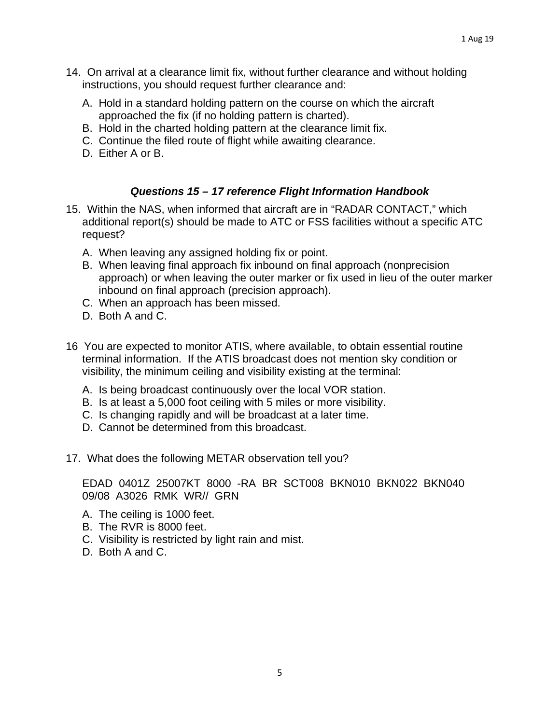- 14. On arrival at a clearance limit fix, without further clearance and without holding instructions, you should request further clearance and:
	- A. Hold in a standard holding pattern on the course on which the aircraft approached the fix (if no holding pattern is charted).
	- B. Hold in the charted holding pattern at the clearance limit fix.
	- C. Continue the filed route of flight while awaiting clearance.
	- D. Either A or B.

#### *Questions 15 – 17 reference Flight Information Handbook*

- 15. Within the NAS, when informed that aircraft are in "RADAR CONTACT," which additional report(s) should be made to ATC or FSS facilities without a specific ATC request?
	- A. When leaving any assigned holding fix or point.
	- B. When leaving final approach fix inbound on final approach (nonprecision approach) or when leaving the outer marker or fix used in lieu of the outer marker inbound on final approach (precision approach).
	- C. When an approach has been missed.
	- D. Both A and C.
- 16 You are expected to monitor ATIS, where available, to obtain essential routine terminal information. If the ATIS broadcast does not mention sky condition or visibility, the minimum ceiling and visibility existing at the terminal:
	- A. Is being broadcast continuously over the local VOR station.
	- B. Is at least a 5,000 foot ceiling with 5 miles or more visibility.
	- C. Is changing rapidly and will be broadcast at a later time.
	- D. Cannot be determined from this broadcast.
- 17. What does the following METAR observation tell you?

EDAD 0401Z 25007KT 8000 -RA BR SCT008 BKN010 BKN022 BKN040 09/08 A3026 RMK WR// GRN

- A. The ceiling is 1000 feet.
- B. The RVR is 8000 feet.
- C. Visibility is restricted by light rain and mist.
- D. Both A and C.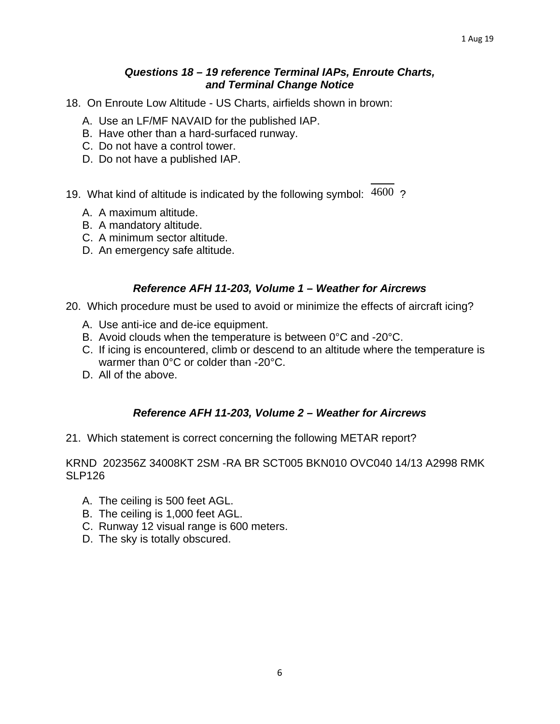#### *Questions 18 – 19 reference Terminal IAPs, Enroute Charts, and Terminal Change Notice*

- 18. On Enroute Low Altitude US Charts, airfields shown in brown:
	- A. Use an LF/MF NAVAID for the published IAP.
	- B. Have other than a hard-surfaced runway.
	- C. Do not have a control tower.
	- D. Do not have a published IAP.
- 19. What kind of altitude is indicated by the following symbol:  $4600$  ?
	- A. A maximum altitude.
	- B. A mandatory altitude.
	- C. A minimum sector altitude.
	- D. An emergency safe altitude.

## *Reference AFH 11-203, Volume 1 – Weather for Aircrews*

- 20. Which procedure must be used to avoid or minimize the effects of aircraft icing?
	- A. Use anti-ice and de-ice equipment.
	- B. Avoid clouds when the temperature is between 0°C and -20°C.
	- C. If icing is encountered, climb or descend to an altitude where the temperature is warmer than 0°C or colder than -20°C.
	- D. All of the above.

## *Reference AFH 11-203, Volume 2 – Weather for Aircrews*

21. Which statement is correct concerning the following METAR report?

#### KRND 202356Z 34008KT 2SM -RA BR SCT005 BKN010 OVC040 14/13 A2998 RMK SLP126

- A. The ceiling is 500 feet AGL.
- B. The ceiling is 1,000 feet AGL.
- C. Runway 12 visual range is 600 meters.
- D. The sky is totally obscured.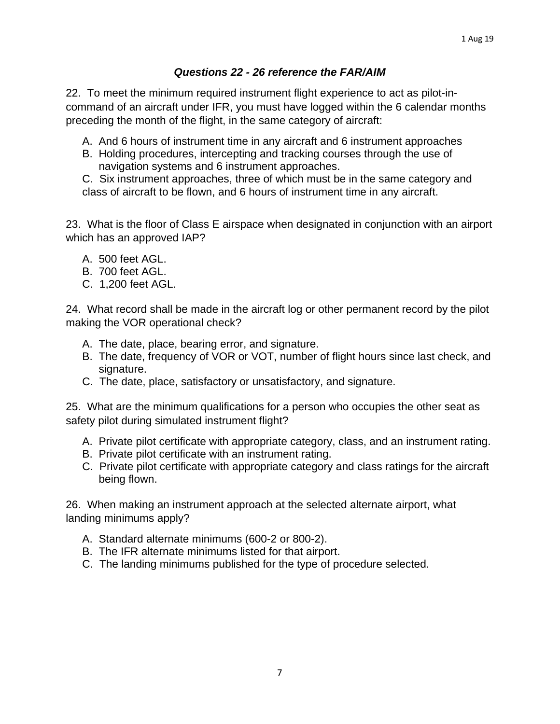#### *Questions 22 - 26 reference the FAR/AIM*

22. To meet the minimum required instrument flight experience to act as pilot-incommand of an aircraft under IFR, you must have logged within the 6 calendar months preceding the month of the flight, in the same category of aircraft:

- A. And 6 hours of instrument time in any aircraft and 6 instrument approaches
- B. Holding procedures, intercepting and tracking courses through the use of navigation systems and 6 instrument approaches.

C. Six instrument approaches, three of which must be in the same category and class of aircraft to be flown, and 6 hours of instrument time in any aircraft.

23. What is the floor of Class E airspace when designated in conjunction with an airport which has an approved IAP?

- A. 500 feet AGL.
- B. 700 feet AGL.
- C.1,200 feet AGL.

24. What record shall be made in the aircraft log or other permanent record by the pilot making the VOR operational check?

- A. The date, place, bearing error, and signature.
- B.The date, frequency of VOR or VOT, number of flight hours since last check, and signature.
- C. The date, place, satisfactory or unsatisfactory, and signature.

25. What are the minimum qualifications for a person who occupies the other seat as safety pilot during simulated instrument flight?

- A. Private pilot certificate with appropriate category, class, and an instrument rating.
- B. Private pilot certificate with an instrument rating.
- C. Private pilot certificate with appropriate category and class ratings for the aircraft being flown.

26. When making an instrument approach at the selected alternate airport, what landing minimums apply?

- A. Standard alternate minimums (600-2 or 800-2).
- B. The IFR alternate minimums listed for that airport.
- C. The landing minimums published for the type of procedure selected.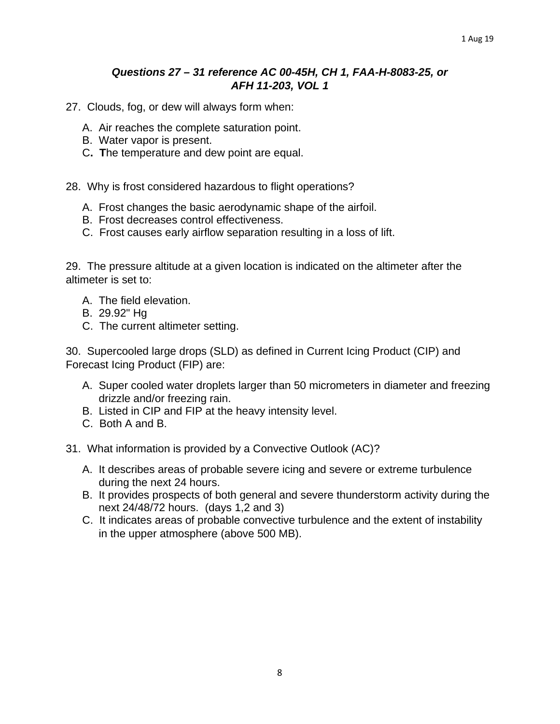#### *Questions 27 – 31 reference AC 00-45H, CH 1, FAA-H-8083-25, or AFH 11-203, VOL 1*

27. Clouds, fog, or dew will always form when:

- A. Air reaches the complete saturation point.
- B. Water vapor is present.
- C**. T**he temperature and dew point are equal.

28. Why is frost considered hazardous to flight operations?

- A. Frost changes the basic aerodynamic shape of the airfoil.
- B. Frost decreases control effectiveness.
- C. Frost causes early airflow separation resulting in a loss of lift.

29. The pressure altitude at a given location is indicated on the altimeter after the altimeter is set to:

- A. The field elevation.
- B. 29.92" Hg
- C. The current altimeter setting.

30. Supercooled large drops (SLD) as defined in Current Icing Product (CIP) and Forecast Icing Product (FIP) are:

- A. Super cooled water droplets larger than 50 micrometers in diameter and freezing drizzle and/or freezing rain.
- B. Listed in CIP and FIP at the heavy intensity level.
- C.Both A and B.

31. What information is provided by a Convective Outlook (AC)?

- A.It describes areas of probable severe icing and severe or extreme turbulence during the next 24 hours.
- B. It provides prospects of both general and severe thunderstorm activity during the next 24/48/72 hours. (days 1,2 and 3)
- C. It indicates areas of probable convective turbulence and the extent of instability in the upper atmosphere (above 500 MB).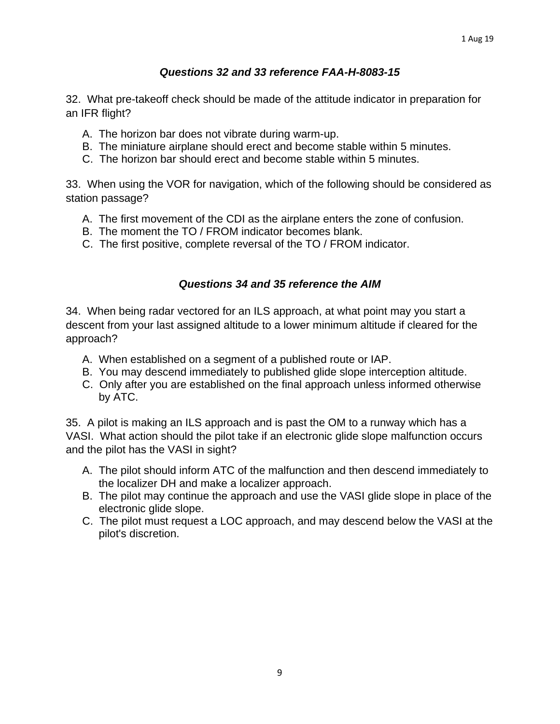## *Questions 32 and 33 reference FAA-H-8083-15*

32. What pre-takeoff check should be made of the attitude indicator in preparation for an IFR flight?

- A. The horizon bar does not vibrate during warm-up.
- B. The miniature airplane should erect and become stable within 5 minutes.
- C. The horizon bar should erect and become stable within 5 minutes.

33. When using the VOR for navigation, which of the following should be considered as station passage?

- A. The first movement of the CDI as the airplane enters the zone of confusion.
- B. The moment the TO / FROM indicator becomes blank.
- C. The first positive, complete reversal of the TO / FROM indicator.

#### *Questions 34 and 35 reference the AIM*

34. When being radar vectored for an ILS approach, at what point may you start a descent from your last assigned altitude to a lower minimum altitude if cleared for the approach?

- A. When established on a segment of a published route or IAP.
- B. You may descend immediately to published glide slope interception altitude.
- C. Only after you are established on the final approach unless informed otherwise by ATC.

35. A pilot is making an ILS approach and is past the OM to a runway which has a VASI. What action should the pilot take if an electronic glide slope malfunction occurs and the pilot has the VASI in sight?

- A. The pilot should inform ATC of the malfunction and then descend immediately to the localizer DH and make a localizer approach.
- B. The pilot may continue the approach and use the VASI glide slope in place of the electronic glide slope.
- C. The pilot must request a LOC approach, and may descend below the VASI at the pilot's discretion.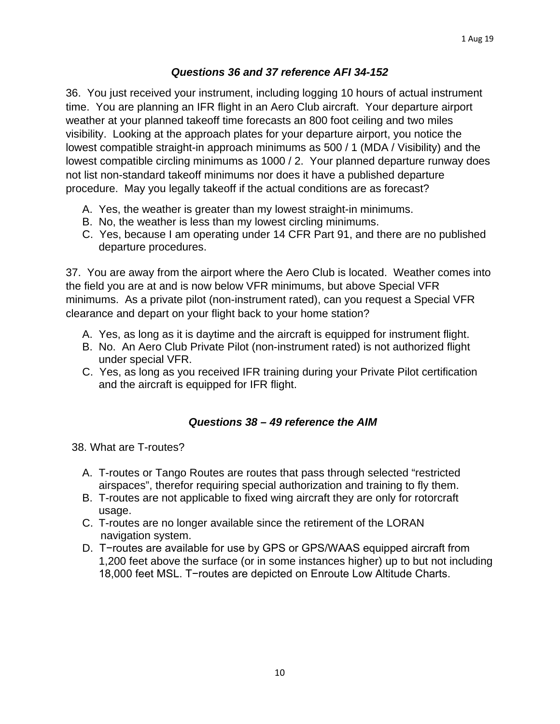#### *Questions 36 and 37 reference AFI 34-152*

36. You just received your instrument, including logging 10 hours of actual instrument time. You are planning an IFR flight in an Aero Club aircraft. Your departure airport weather at your planned takeoff time forecasts an 800 foot ceiling and two miles visibility. Looking at the approach plates for your departure airport, you notice the lowest compatible straight-in approach minimums as 500 / 1 (MDA / Visibility) and the lowest compatible circling minimums as 1000 / 2. Your planned departure runway does not list non-standard takeoff minimums nor does it have a published departure procedure. May you legally takeoff if the actual conditions are as forecast?

- A. Yes, the weather is greater than my lowest straight-in minimums.
- B. No, the weather is less than my lowest circling minimums.
- C. Yes, because I am operating under 14 CFR Part 91, and there are no published departure procedures.

37. You are away from the airport where the Aero Club is located. Weather comes into the field you are at and is now below VFR minimums, but above Special VFR minimums. As a private pilot (non-instrument rated), can you request a Special VFR clearance and depart on your flight back to your home station?

- A. Yes, as long as it is daytime and the aircraft is equipped for instrument flight.
- B. No. An Aero Club Private Pilot (non-instrument rated) is not authorized flight under special VFR.
- C. Yes, as long as you received IFR training during your Private Pilot certification and the aircraft is equipped for IFR flight.

## *Questions 38 – 49 reference the AIM*

38. What are T-routes?

- A. T-routes or Tango Routes are routes that pass through selected "restricted airspaces", therefor requiring special authorization and training to fly them.
- B. T-routes are not applicable to fixed wing aircraft they are only for rotorcraft usage.
- C. T-routes are no longer available since the retirement of the LORAN navigation system.
- D. T-routes are available for use by GPS or GPS/WAAS equipped aircraft from 1,200 feet above the surface (or in some instances higher) up to but not including 18,000 feet MSL. T−routes are depicted on Enroute Low Altitude Charts.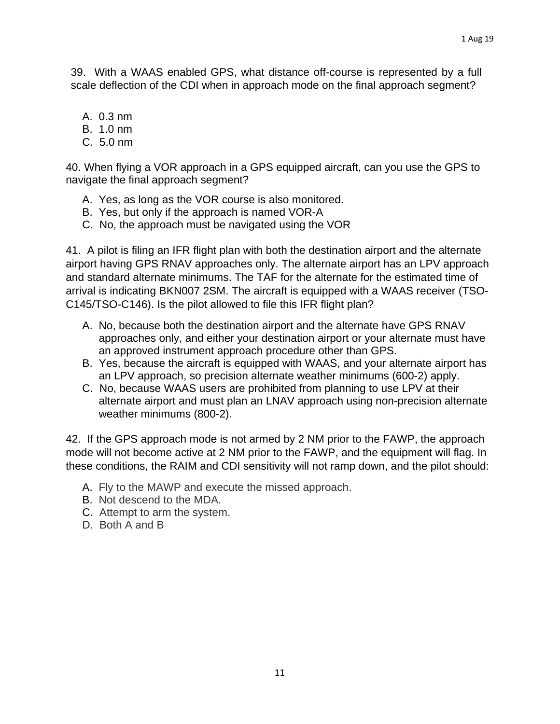39. With a WAAS enabled GPS, what distance off-course is represented by a full scale deflection of the CDI when in approach mode on the final approach segment?

- A. 0.3 nm
- B. 1.0 nm
- C. 5.0 nm

40. When flying a VOR approach in a GPS equipped aircraft, can you use the GPS to navigate the final approach segment?

- A. Yes, as long as the VOR course is also monitored.
- B. Yes, but only if the approach is named VOR-A
- C. No, the approach must be navigated using the VOR

41. A pilot is filing an IFR flight plan with both the destination airport and the alternate airport having GPS RNAV approaches only. The alternate airport has an LPV approach and standard alternate minimums. The TAF for the alternate for the estimated time of arrival is indicating BKN007 2SM. The aircraft is equipped with a WAAS receiver (TSO-C145/TSO-C146). Is the pilot allowed to file this IFR flight plan?

- A. No, because both the destination airport and the alternate have GPS RNAV approaches only, and either your destination airport or your alternate must have an approved instrument approach procedure other than GPS.
- B. Yes, because the aircraft is equipped with WAAS, and your alternate airport has an LPV approach, so precision alternate weather minimums (600-2) apply.
- C. No, because WAAS users are prohibited from planning to use LPV at their alternate airport and must plan an LNAV approach using non-precision alternate weather minimums (800-2).

42. If the GPS approach mode is not armed by 2 NM prior to the FAWP, the approach mode will not become active at 2 NM prior to the FAWP, and the equipment will flag. In these conditions, the RAIM and CDI sensitivity will not ramp down, and the pilot should:

- A. Fly to the MAWP and execute the missed approach.
- B. Not descend to the MDA.
- C. Attempt to arm the system.
- D. Both A and B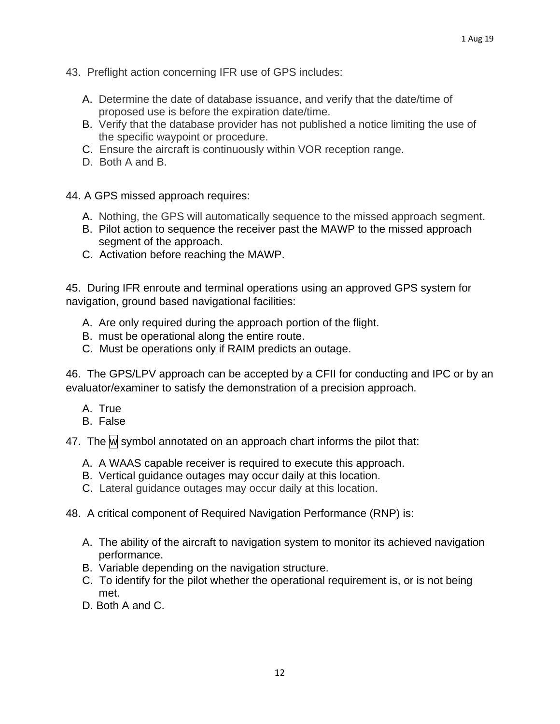- 43. Preflight action concerning IFR use of GPS includes:
	- A. Determine the date of database issuance, and verify that the date/time of proposed use is before the expiration date/time.
	- B. Verify that the database provider has not published a notice limiting the use of the specific waypoint or procedure.
	- C. Ensure the aircraft is continuously within VOR reception range.
	- D. Both A and B.
- 44. A GPS missed approach requires:
	- A. Nothing, the GPS will automatically sequence to the missed approach segment.
	- B. Pilot action to sequence the receiver past the MAWP to the missed approach segment of the approach.
	- C. Activation before reaching the MAWP.

45. During IFR enroute and terminal operations using an approved GPS system for navigation, ground based navigational facilities:

- A. Are only required during the approach portion of the flight.
- B. must be operational along the entire route.
- C. Must be operations only if RAIM predicts an outage.

46. The GPS/LPV approach can be accepted by a CFII for conducting and IPC or by an evaluator/examiner to satisfy the demonstration of a precision approach.

- A. True
- B. False

47. The  $\mathsf{M}$  symbol annotated on an approach chart informs the pilot that:

- A. A WAAS capable receiver is required to execute this approach.
- B. Vertical guidance outages may occur daily at this location.
- C. Lateral guidance outages may occur daily at this location.
- 48. A critical component of Required Navigation Performance (RNP) is:
	- A. The ability of the aircraft to navigation system to monitor its achieved navigation performance.
	- B. Variable depending on the navigation structure.
	- C. To identify for the pilot whether the operational requirement is, or is not being met.
	- D. Both A and C.